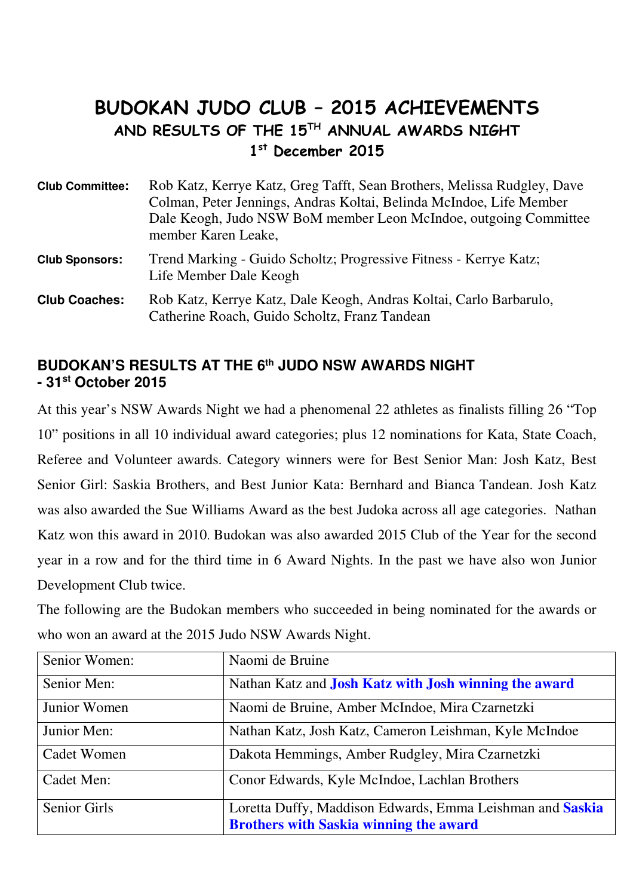# BUDOKAN JUDO CLUB – 2015 ACHIEVEMENTS AND RESULTS OF THE 15TH ANNUAL AWARDS NIGHT 1 st December 2015

| <b>Club Committee:</b> | Rob Katz, Kerrye Katz, Greg Tafft, Sean Brothers, Melissa Rudgley, Dave<br>Colman, Peter Jennings, Andras Koltai, Belinda McIndoe, Life Member<br>Dale Keogh, Judo NSW BoM member Leon McIndoe, outgoing Committee<br>member Karen Leake, |
|------------------------|-------------------------------------------------------------------------------------------------------------------------------------------------------------------------------------------------------------------------------------------|
| <b>Club Sponsors:</b>  | Trend Marking - Guido Scholtz; Progressive Fitness - Kerrye Katz;<br>Life Member Dale Keogh                                                                                                                                               |
| <b>Club Coaches:</b>   | Rob Katz, Kerrye Katz, Dale Keogh, Andras Koltai, Carlo Barbarulo,<br>Catherine Roach, Guido Scholtz, Franz Tandean                                                                                                                       |

# **BUDOKAN'S RESULTS AT THE 6th JUDO NSW AWARDS NIGHT - 31st October 2015**

At this year's NSW Awards Night we had a phenomenal 22 athletes as finalists filling 26 "Top 10" positions in all 10 individual award categories; plus 12 nominations for Kata, State Coach, Referee and Volunteer awards. Category winners were for Best Senior Man: Josh Katz, Best Senior Girl: Saskia Brothers, and Best Junior Kata: Bernhard and Bianca Tandean. Josh Katz was also awarded the Sue Williams Award as the best Judoka across all age categories. Nathan Katz won this award in 2010. Budokan was also awarded 2015 Club of the Year for the second year in a row and for the third time in 6 Award Nights. In the past we have also won Junior Development Club twice.

The following are the Budokan members who succeeded in being nominated for the awards or who won an award at the 2015 Judo NSW Awards Night.

| Senior Women: | Naomi de Bruine                                              |
|---------------|--------------------------------------------------------------|
| Senior Men:   | Nathan Katz and <b>Josh Katz with Josh winning the award</b> |
| Junior Women  | Naomi de Bruine, Amber McIndoe, Mira Czarnetzki              |
| Junior Men:   | Nathan Katz, Josh Katz, Cameron Leishman, Kyle McIndoe       |
| Cadet Women   | Dakota Hemmings, Amber Rudgley, Mira Czarnetzki              |
| Cadet Men:    | Conor Edwards, Kyle McIndoe, Lachlan Brothers                |
| Senior Girls  | Loretta Duffy, Maddison Edwards, Emma Leishman and Saskia    |
|               | <b>Brothers with Saskia winning the award</b>                |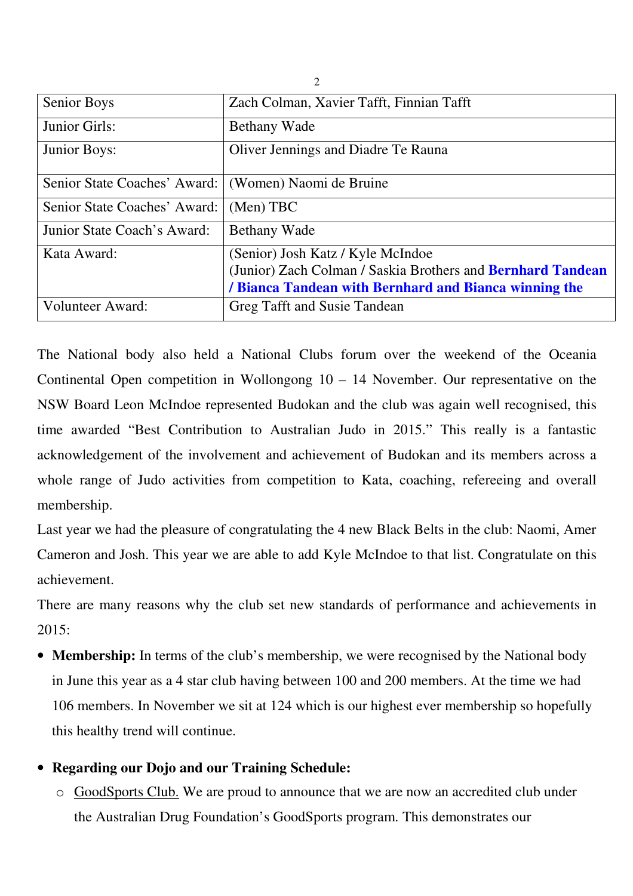| <b>Senior Boys</b>           | Zach Colman, Xavier Tafft, Finnian Tafft                    |
|------------------------------|-------------------------------------------------------------|
| Junior Girls:                | <b>Bethany Wade</b>                                         |
| Junior Boys:                 | Oliver Jennings and Diadre Te Rauna                         |
| Senior State Coaches' Award: | (Women) Naomi de Bruine                                     |
| Senior State Coaches' Award: | (Men) TBC                                                   |
| Junior State Coach's Award:  | Bethany Wade                                                |
| Kata Award:                  | (Senior) Josh Katz / Kyle McIndoe                           |
|                              | (Junior) Zach Colman / Saskia Brothers and Bernhard Tandean |
|                              | / Bianca Tandean with Bernhard and Bianca winning the       |
| <b>Volunteer Award:</b>      | Greg Tafft and Susie Tandean                                |

2

The National body also held a National Clubs forum over the weekend of the Oceania Continental Open competition in Wollongong 10 – 14 November. Our representative on the NSW Board Leon McIndoe represented Budokan and the club was again well recognised, this time awarded "Best Contribution to Australian Judo in 2015." This really is a fantastic acknowledgement of the involvement and achievement of Budokan and its members across a whole range of Judo activities from competition to Kata, coaching, refereeing and overall membership.

Last year we had the pleasure of congratulating the 4 new Black Belts in the club: Naomi, Amer Cameron and Josh. This year we are able to add Kyle McIndoe to that list. Congratulate on this achievement.

There are many reasons why the club set new standards of performance and achievements in  $2015$ 

- **Membership:** In terms of the club's membership, we were recognised by the National body in June this year as a 4 star club having between 100 and 200 members. At the time we had 106 members. In November we sit at 124 which is our highest ever membership so hopefully this healthy trend will continue.
- **Regarding our Dojo and our Training Schedule:**
	- o GoodSports Club. We are proud to announce that we are now an accredited club under the Australian Drug Foundation's GoodSports program. This demonstrates our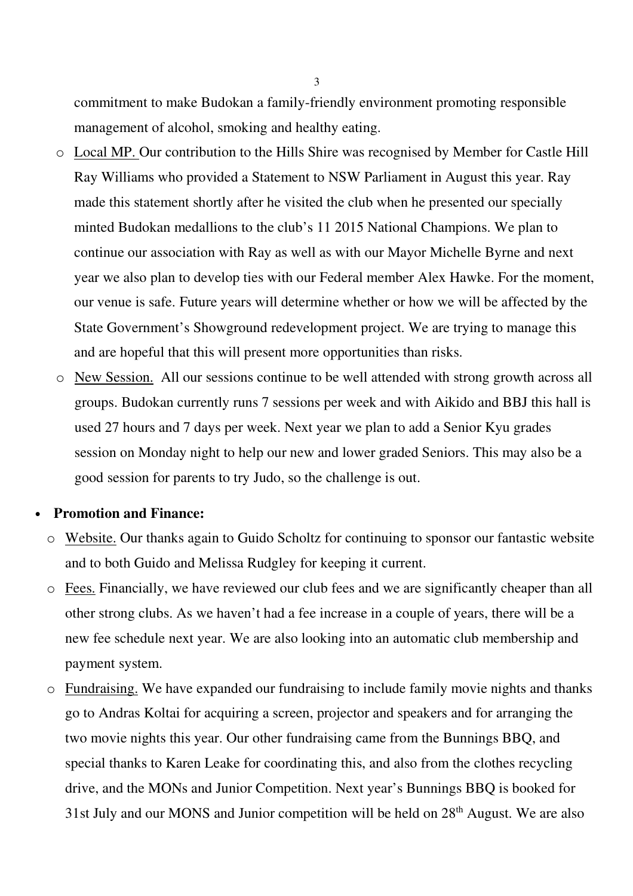commitment to make Budokan a family-friendly environment promoting responsible management of alcohol, smoking and healthy eating.

- o Local MP. Our contribution to the Hills Shire was recognised by Member for Castle Hill Ray Williams who provided a Statement to NSW Parliament in August this year. Ray made this statement shortly after he visited the club when he presented our specially minted Budokan medallions to the club's 11 2015 National Champions. We plan to continue our association with Ray as well as with our Mayor Michelle Byrne and next year we also plan to develop ties with our Federal member Alex Hawke. For the moment, our venue is safe. Future years will determine whether or how we will be affected by the State Government's Showground redevelopment project. We are trying to manage this and are hopeful that this will present more opportunities than risks.
- o New Session. All our sessions continue to be well attended with strong growth across all groups. Budokan currently runs 7 sessions per week and with Aikido and BBJ this hall is used 27 hours and 7 days per week. Next year we plan to add a Senior Kyu grades session on Monday night to help our new and lower graded Seniors. This may also be a good session for parents to try Judo, so the challenge is out.

#### • **Promotion and Finance:**

- o Website. Our thanks again to Guido Scholtz for continuing to sponsor our fantastic website and to both Guido and Melissa Rudgley for keeping it current.
- o Fees. Financially, we have reviewed our club fees and we are significantly cheaper than all other strong clubs. As we haven't had a fee increase in a couple of years, there will be a new fee schedule next year. We are also looking into an automatic club membership and payment system.
- o Fundraising. We have expanded our fundraising to include family movie nights and thanks go to Andras Koltai for acquiring a screen, projector and speakers and for arranging the two movie nights this year. Our other fundraising came from the Bunnings BBQ, and special thanks to Karen Leake for coordinating this, and also from the clothes recycling drive, and the MONs and Junior Competition. Next year's Bunnings BBQ is booked for 31st July and our MONS and Junior competition will be held on  $28<sup>th</sup>$  August. We are also

3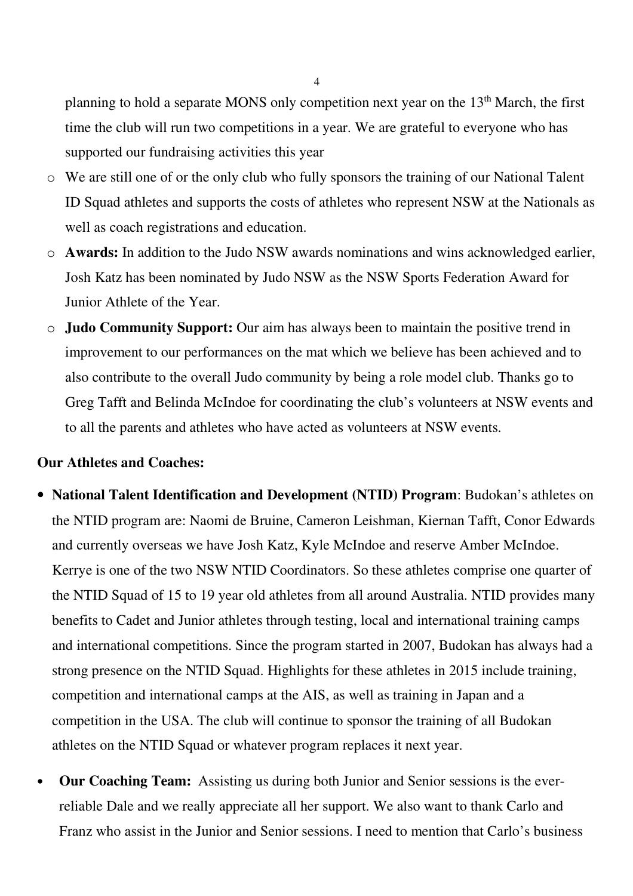planning to hold a separate MONS only competition next year on the  $13<sup>th</sup>$  March, the first time the club will run two competitions in a year. We are grateful to everyone who has supported our fundraising activities this year

- o We are still one of or the only club who fully sponsors the training of our National Talent ID Squad athletes and supports the costs of athletes who represent NSW at the Nationals as well as coach registrations and education.
- o **Awards:** In addition to the Judo NSW awards nominations and wins acknowledged earlier, Josh Katz has been nominated by Judo NSW as the NSW Sports Federation Award for Junior Athlete of the Year.
- o **Judo Community Support:** Our aim has always been to maintain the positive trend in improvement to our performances on the mat which we believe has been achieved and to also contribute to the overall Judo community by being a role model club. Thanks go to Greg Tafft and Belinda McIndoe for coordinating the club's volunteers at NSW events and to all the parents and athletes who have acted as volunteers at NSW events.

### **Our Athletes and Coaches:**

- **National Talent Identification and Development (NTID) Program**: Budokan's athletes on the NTID program are: Naomi de Bruine, Cameron Leishman, Kiernan Tafft, Conor Edwards and currently overseas we have Josh Katz, Kyle McIndoe and reserve Amber McIndoe. Kerrye is one of the two NSW NTID Coordinators. So these athletes comprise one quarter of the NTID Squad of 15 to 19 year old athletes from all around Australia. NTID provides many benefits to Cadet and Junior athletes through testing, local and international training camps and international competitions. Since the program started in 2007, Budokan has always had a strong presence on the NTID Squad. Highlights for these athletes in 2015 include training, competition and international camps at the AIS, as well as training in Japan and a competition in the USA. The club will continue to sponsor the training of all Budokan athletes on the NTID Squad or whatever program replaces it next year.
- **Our Coaching Team:** Assisting us during both Junior and Senior sessions is the everreliable Dale and we really appreciate all her support. We also want to thank Carlo and Franz who assist in the Junior and Senior sessions. I need to mention that Carlo's business

4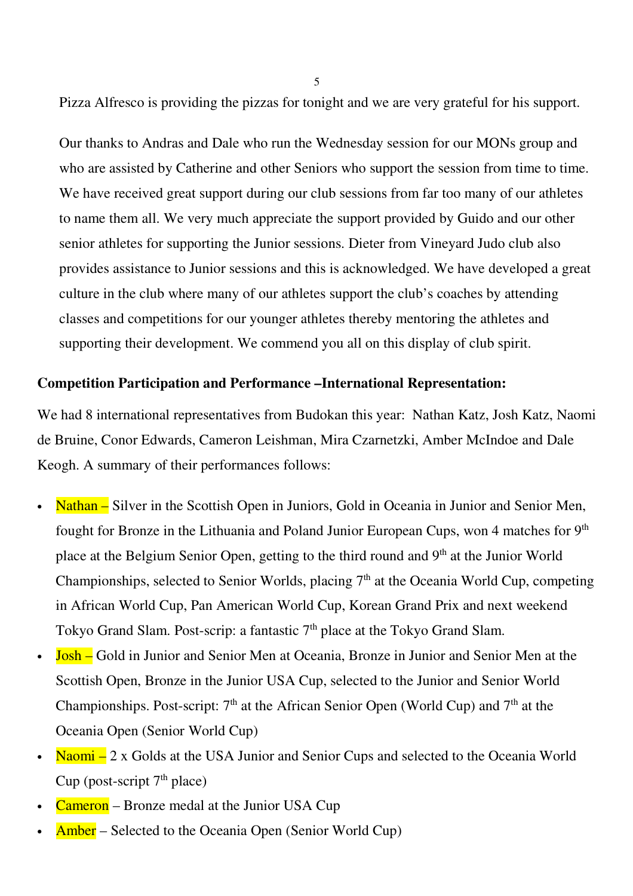Pizza Alfresco is providing the pizzas for tonight and we are very grateful for his support.

5

Our thanks to Andras and Dale who run the Wednesday session for our MONs group and who are assisted by Catherine and other Seniors who support the session from time to time. We have received great support during our club sessions from far too many of our athletes to name them all. We very much appreciate the support provided by Guido and our other senior athletes for supporting the Junior sessions. Dieter from Vineyard Judo club also provides assistance to Junior sessions and this is acknowledged. We have developed a great culture in the club where many of our athletes support the club's coaches by attending classes and competitions for our younger athletes thereby mentoring the athletes and supporting their development. We commend you all on this display of club spirit.

## **Competition Participation and Performance –International Representation:**

We had 8 international representatives from Budokan this year: Nathan Katz, Josh Katz, Naomi de Bruine, Conor Edwards, Cameron Leishman, Mira Czarnetzki, Amber McIndoe and Dale Keogh. A summary of their performances follows:

- Nathan  $-$  Silver in the Scottish Open in Juniors, Gold in Oceania in Junior and Senior Men, fought for Bronze in the Lithuania and Poland Junior European Cups, won 4 matches for 9<sup>th</sup> place at the Belgium Senior Open, getting to the third round and 9<sup>th</sup> at the Junior World Championships, selected to Senior Worlds, placing  $7<sup>th</sup>$  at the Oceania World Cup, competing in African World Cup, Pan American World Cup, Korean Grand Prix and next weekend Tokyo Grand Slam. Post-scrip: a fantastic  $7<sup>th</sup>$  place at the Tokyo Grand Slam.
- Josh Gold in Junior and Senior Men at Oceania, Bronze in Junior and Senior Men at the Scottish Open, Bronze in the Junior USA Cup, selected to the Junior and Senior World Championships. Post-script:  $7<sup>th</sup>$  at the African Senior Open (World Cup) and  $7<sup>th</sup>$  at the Oceania Open (Senior World Cup)
- Naomi  $-2x$  Golds at the USA Junior and Senior Cups and selected to the Oceania World Cup (post-script  $7<sup>th</sup>$  place)
- Cameron Bronze medal at the Junior USA Cup
- Amber Selected to the Oceania Open (Senior World Cup)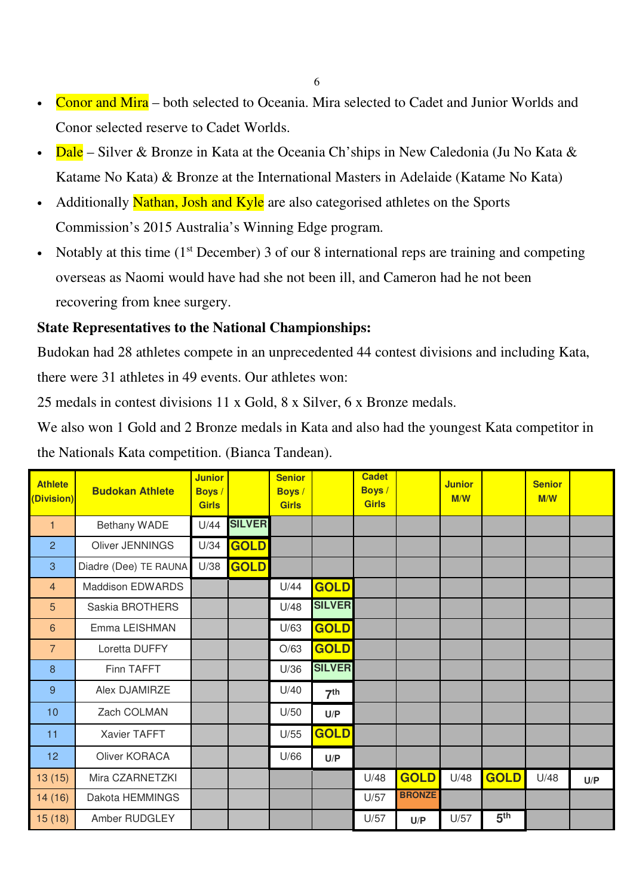- Conor and Mira both selected to Oceania. Mira selected to Cadet and Junior Worlds and Conor selected reserve to Cadet Worlds.
- Dale Silver & Bronze in Kata at the Oceania Ch'ships in New Caledonia (Ju No Kata  $\&$ Katame No Kata) & Bronze at the International Masters in Adelaide (Katame No Kata)
- Additionally Nathan, Josh and Kyle are also categorised athletes on the Sports Commission's 2015 Australia's Winning Edge program.
- Notably at this time  $(1<sup>st</sup> December) 3$  of our 8 international reps are training and competing overseas as Naomi would have had she not been ill, and Cameron had he not been recovering from knee surgery.

# **State Representatives to the National Championships:**

Budokan had 28 athletes compete in an unprecedented 44 contest divisions and including Kata, there were 31 athletes in 49 events. Our athletes won:

25 medals in contest divisions 11 x Gold, 8 x Silver, 6 x Bronze medals.

We also won 1 Gold and 2 Bronze medals in Kata and also had the youngest Kata competitor in the Nationals Kata competition. (Bianca Tandean).

| <b>Athlete</b><br>(Division) | <b>Budokan Athlete</b> | <b>Junior</b><br><b>Boys</b> /<br><b>Girls</b> |               | <b>Senior</b><br><b>Boys</b> /<br><b>Girls</b> |                 | <b>Cadet</b><br><b>Boys</b> /<br><b>Girls</b> |               | <b>Junior</b><br>M/W |                 | <b>Senior</b><br>M/W |     |
|------------------------------|------------------------|------------------------------------------------|---------------|------------------------------------------------|-----------------|-----------------------------------------------|---------------|----------------------|-----------------|----------------------|-----|
| $\mathbf{1}$                 | Bethany WADE           | U/44                                           | <b>SILVER</b> |                                                |                 |                                               |               |                      |                 |                      |     |
| $\overline{2}$               | Oliver JENNINGS        | U/34                                           | <b>GOLD</b>   |                                                |                 |                                               |               |                      |                 |                      |     |
| 3                            | Diadre (Dee) TE RAUNA  | U/38                                           | GOLD          |                                                |                 |                                               |               |                      |                 |                      |     |
| $\overline{4}$               | Maddison EDWARDS       |                                                |               | U/44                                           | <b>GOLD</b>     |                                               |               |                      |                 |                      |     |
| 5                            | Saskia BROTHERS        |                                                |               | U/48                                           | <b>SILVER</b>   |                                               |               |                      |                 |                      |     |
| 6                            | Emma LEISHMAN          |                                                |               | U/63                                           | <b>GOLD</b>     |                                               |               |                      |                 |                      |     |
| $\overline{7}$               | Loretta DUFFY          |                                                |               | O/63                                           | <b>GOLD</b>     |                                               |               |                      |                 |                      |     |
| 8                            | Finn TAFFT             |                                                |               | U/36                                           | <b>SILVER</b>   |                                               |               |                      |                 |                      |     |
| 9                            | Alex DJAMIRZE          |                                                |               | U/40                                           | 7 <sup>th</sup> |                                               |               |                      |                 |                      |     |
| 10                           | Zach COLMAN            |                                                |               | U/50                                           | U/P             |                                               |               |                      |                 |                      |     |
| 11                           | <b>Xavier TAFFT</b>    |                                                |               | U/55                                           | <b>GOLD</b>     |                                               |               |                      |                 |                      |     |
| 12                           | Oliver KORACA          |                                                |               | U/66                                           | U/P             |                                               |               |                      |                 |                      |     |
| 13(15)                       | Mira CZARNETZKI        |                                                |               |                                                |                 | U/48                                          | <b>GOLD</b>   | U/48                 | <b>GOLD</b>     | U/48                 | U/P |
| 14 (16)                      | Dakota HEMMINGS        |                                                |               |                                                |                 | U/57                                          | <b>BRONZE</b> |                      |                 |                      |     |
| 15(18)                       | Amber RUDGLEY          |                                                |               |                                                |                 | U/57                                          | U/P           | U/57                 | 5 <sup>th</sup> |                      |     |

6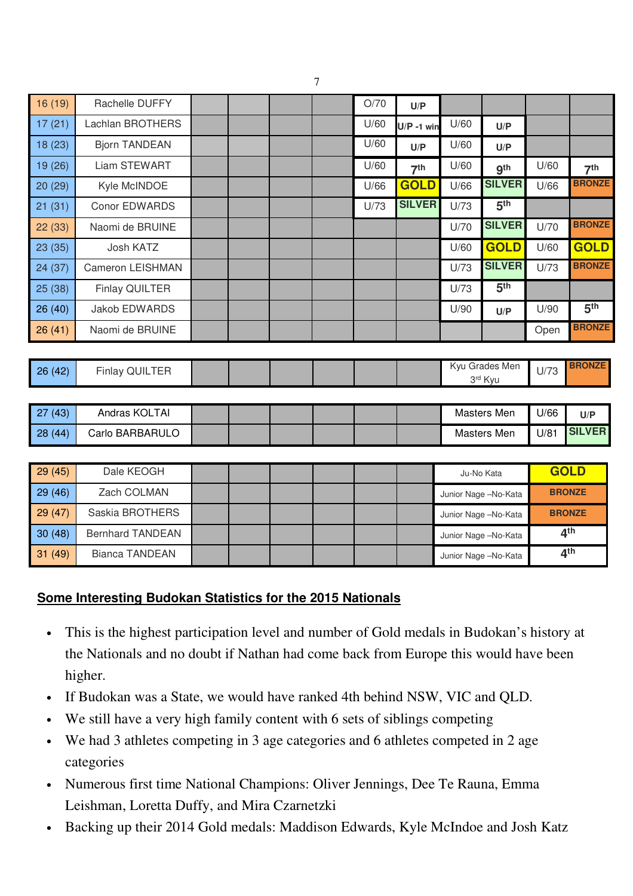| 16(19)  | Rachelle DUFFY          |  |  | O/70 | U/P             |      |                           |      |                 |
|---------|-------------------------|--|--|------|-----------------|------|---------------------------|------|-----------------|
| 17(21)  | <b>Lachlan BROTHERS</b> |  |  | U/60 | $U/P - 1$ win   | U/60 | U/P                       |      |                 |
| 18(23)  | <b>Bjorn TANDEAN</b>    |  |  | U/60 | U/P             | U/60 | U/P                       |      |                 |
| 19 (26) | Liam STEWART            |  |  | U/60 | 7 <sup>th</sup> | U/60 | gth                       | U/60 | 7 <sup>th</sup> |
| 20(29)  | Kyle McINDOE            |  |  | U/66 | <b>GOLD</b>     | U/66 | <b>SILVER</b>             | U/66 | <b>BRONZE</b>   |
| 21(31)  | <b>Conor EDWARDS</b>    |  |  | U/73 | <b>SILVER</b>   | U/73 | 5 <sup>th</sup>           |      |                 |
| 22(33)  | Naomi de BRUINE         |  |  |      |                 | U/70 | <b>SILVER</b>             | U/70 | <b>BRONZE</b>   |
| 23(35)  | Josh KATZ               |  |  |      |                 | U/60 | <b>GOLD</b>               | U/60 | <b>GOLD</b>     |
| 24 (37) | Cameron LEISHMAN        |  |  |      |                 | U/73 | <b>SILVER</b>             | U/73 | <b>BRONZE</b>   |
| 25 (38) | Finlay QUILTER          |  |  |      |                 | U/73 | 5 <sup>th</sup>           |      |                 |
| 26(40)  | Jakob EDWARDS           |  |  |      |                 | U/90 | U/P                       | U/90 | 5 <sup>th</sup> |
| 26(41)  | Naomi de BRUINE         |  |  |      |                 |      |                           | Open | <b>BRONZE</b>   |
|         |                         |  |  |      |                 |      |                           |      |                 |
| 26(42)  | <b>Finlay QUILTER</b>   |  |  |      |                 |      | Kyu Grades Men<br>3rd Kyu | U/73 | <b>BRONZE</b>   |
|         |                         |  |  |      |                 |      |                           |      |                 |
| 27(43)  | Andras KOLTAI           |  |  |      |                 |      | Masters Men               | U/66 | U/P             |
| 28(44)  | Carlo BARBARULO         |  |  |      |                 |      | Masters Men               | U/81 | <b>SILVER</b>   |
|         |                         |  |  |      |                 |      |                           |      |                 |
| 29(45)  | Dale KEOGH              |  |  |      |                 |      | Ju-No Kata                |      | <b>GOLD</b>     |
| 00/10   | $7 - 1$ $0$ $1111$      |  |  |      |                 |      |                           |      |                 |

| 20(70) | Part In Point           |  |  |  | Ju-ino Kala          | <u>uuru</u>     |
|--------|-------------------------|--|--|--|----------------------|-----------------|
| 29(46) | Zach COLMAN             |  |  |  | Junior Nage -No-Kata | <b>BRONZE</b>   |
| 29(47) | Saskia BROTHERS         |  |  |  | Junior Nage -No-Kata | <b>BRONZE</b>   |
| 30(48) | <b>Bernhard TANDEAN</b> |  |  |  | Junior Nage -No-Kata | 4 <sup>th</sup> |
| 31(49) | Bianca TANDEAN          |  |  |  | Junior Nage -No-Kata | 4 <sup>th</sup> |

# **Some Interesting Budokan Statistics for the 2015 Nationals**

- This is the highest participation level and number of Gold medals in Budokan's history at the Nationals and no doubt if Nathan had come back from Europe this would have been higher.
- If Budokan was a State, we would have ranked 4th behind NSW, VIC and QLD.
- We still have a very high family content with 6 sets of siblings competing
- We had 3 athletes competing in 3 age categories and 6 athletes competed in 2 age categories
- Numerous first time National Champions: Oliver Jennings, Dee Te Rauna, Emma Leishman, Loretta Duffy, and Mira Czarnetzki
- Backing up their 2014 Gold medals: Maddison Edwards, Kyle McIndoe and Josh Katz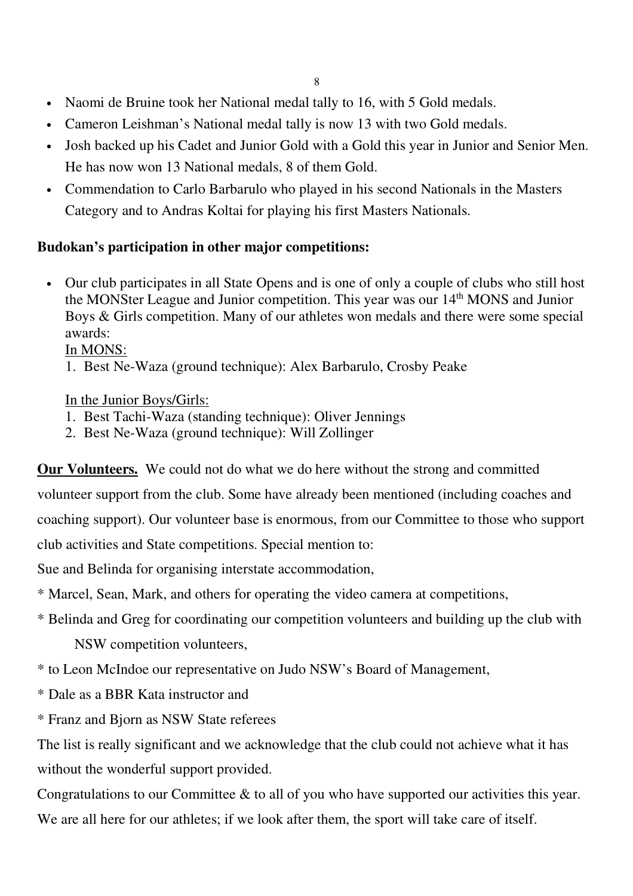- Naomi de Bruine took her National medal tally to 16, with 5 Gold medals.
- Cameron Leishman's National medal tally is now 13 with two Gold medals.
- Josh backed up his Cadet and Junior Gold with a Gold this year in Junior and Senior Men. He has now won 13 National medals, 8 of them Gold.
- Commendation to Carlo Barbarulo who played in his second Nationals in the Masters Category and to Andras Koltai for playing his first Masters Nationals.

# **Budokan's participation in other major competitions:**

• Our club participates in all State Opens and is one of only a couple of clubs who still host the MONSter League and Junior competition. This year was our 14<sup>th</sup> MONS and Junior Boys & Girls competition. Many of our athletes won medals and there were some special awards:

In MONS:

1. Best Ne-Waza (ground technique): Alex Barbarulo, Crosby Peake

## In the Junior Boys/Girls:

- 1. Best Tachi-Waza (standing technique): Oliver Jennings
- 2. Best Ne-Waza (ground technique): Will Zollinger

**Our Volunteers.** We could not do what we do here without the strong and committed volunteer support from the club. Some have already been mentioned (including coaches and coaching support). Our volunteer base is enormous, from our Committee to those who support club activities and State competitions. Special mention to:

Sue and Belinda for organising interstate accommodation,

\* Marcel, Sean, Mark, and others for operating the video camera at competitions,

\* Belinda and Greg for coordinating our competition volunteers and building up the club with

NSW competition volunteers,

\* to Leon McIndoe our representative on Judo NSW's Board of Management,

- \* Dale as a BBR Kata instructor and
- \* Franz and Bjorn as NSW State referees

The list is really significant and we acknowledge that the club could not achieve what it has without the wonderful support provided.

Congratulations to our Committee & to all of you who have supported our activities this year. We are all here for our athletes; if we look after them, the sport will take care of itself.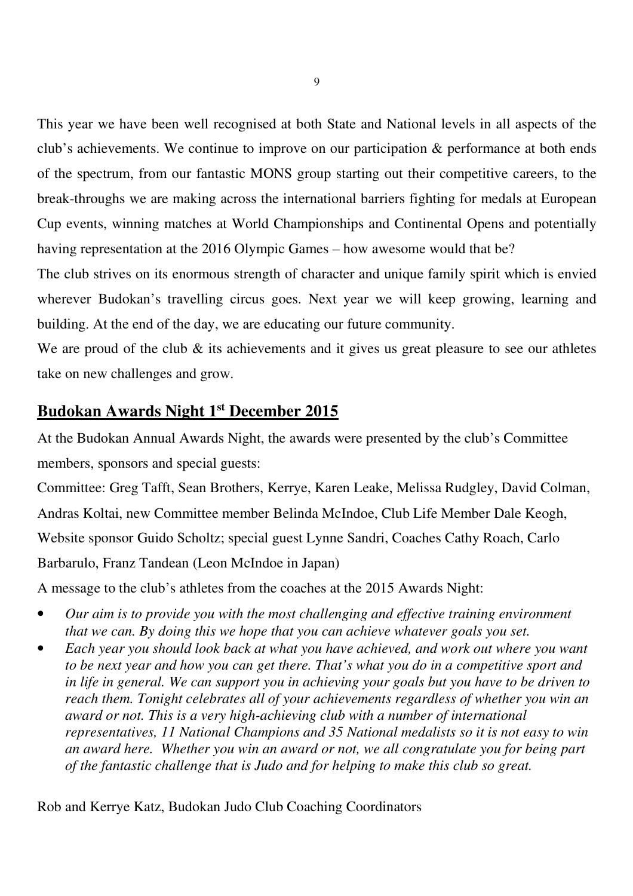This year we have been well recognised at both State and National levels in all aspects of the club's achievements. We continue to improve on our participation & performance at both ends of the spectrum, from our fantastic MONS group starting out their competitive careers, to the break-throughs we are making across the international barriers fighting for medals at European Cup events, winning matches at World Championships and Continental Opens and potentially having representation at the 2016 Olympic Games – how awesome would that be?

The club strives on its enormous strength of character and unique family spirit which is envied wherever Budokan's travelling circus goes. Next year we will keep growing, learning and building. At the end of the day, we are educating our future community.

We are proud of the club  $\&$  its achievements and it gives us great pleasure to see our athletes take on new challenges and grow.

# **Budokan Awards Night 1st December 2015**

At the Budokan Annual Awards Night, the awards were presented by the club's Committee members, sponsors and special guests:

Committee: Greg Tafft, Sean Brothers, Kerrye, Karen Leake, Melissa Rudgley, David Colman, Andras Koltai, new Committee member Belinda McIndoe, Club Life Member Dale Keogh, Website sponsor Guido Scholtz; special guest Lynne Sandri, Coaches Cathy Roach, Carlo Barbarulo, Franz Tandean (Leon McIndoe in Japan)

A message to the club's athletes from the coaches at the 2015 Awards Night:

- *Our aim is to provide you with the most challenging and effective training environment that we can. By doing this we hope that you can achieve whatever goals you set.*
- *Each year you should look back at what you have achieved, and work out where you want to be next year and how you can get there. That's what you do in a competitive sport and in life in general. We can support you in achieving your goals but you have to be driven to reach them. Tonight celebrates all of your achievements regardless of whether you win an award or not. This is a very high-achieving club with a number of international representatives, 11 National Champions and 35 National medalists so it is not easy to win an award here. Whether you win an award or not, we all congratulate you for being part of the fantastic challenge that is Judo and for helping to make this club so great.*

Rob and Kerrye Katz, Budokan Judo Club Coaching Coordinators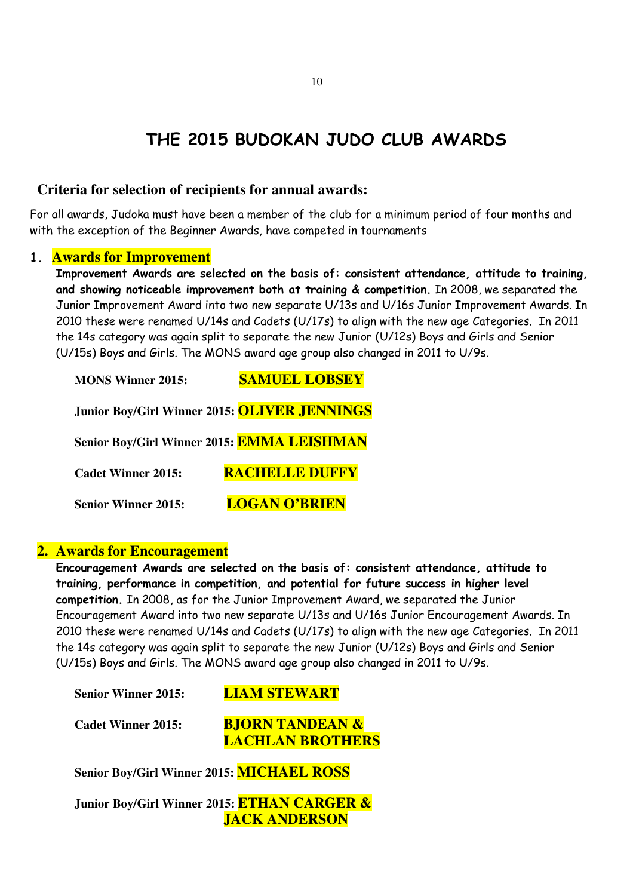# THE 2015 BUDOKAN JUDO CLUB AWARDS

#### **Criteria for selection of recipients for annual awards:**

For all awards, Judoka must have been a member of the club for a minimum period of four months and with the exception of the Beginner Awards, have competed in tournaments

#### 1. **Awards for Improvement**

Improvement Awards are selected on the basis of: consistent attendance, attitude to training, and showing noticeable improvement both at training & competition. In 2008, we separated the Junior Improvement Award into two new separate U/13s and U/16s Junior Improvement Awards. In 2010 these were renamed U/14s and Cadets (U/17s) to align with the new age Categories. In 2011 the 14s category was again split to separate the new Junior (U/12s) Boys and Girls and Senior (U/15s) Boys and Girls. The MONS award age group also changed in 2011 to U/9s.

| <b>MONS Winner 2015:</b>   | <b>SAMUEL LOBSEY</b>                                |
|----------------------------|-----------------------------------------------------|
|                            | Junior Boy/Girl Winner 2015: <b>OLIVER JENNINGS</b> |
|                            | Senior Boy/Girl Winner 2015: EMMA LEISHMAN          |
| <b>Cadet Winner 2015:</b>  | <b>RACHELLE DUFFY</b>                               |
| <b>Senior Winner 2015:</b> | <b>LOGAN O'BRIEN</b>                                |

#### **2. Awards for Encouragement**

Encouragement Awards are selected on the basis of: consistent attendance, attitude to training, performance in competition, and potential for future success in higher level competition. In 2008, as for the Junior Improvement Award, we separated the Junior Encouragement Award into two new separate U/13s and U/16s Junior Encouragement Awards. In 2010 these were renamed U/14s and Cadets (U/17s) to align with the new age Categories. In 2011 the 14s category was again split to separate the new Junior (U/12s) Boys and Girls and Senior (U/15s) Boys and Girls. The MONS award age group also changed in 2011 to U/9s.

 **Senior Winner 2015: LIAM STEWART** 

 **Cadet Winner 2015: BJORN TANDEAN & LACHLAN BROTHERS** 

**Senior Boy/Girl Winner 2015: MICHAEL ROSS** 

**Junior Boy/Girl Winner 2015: ETHAN CARGER & JACK ANDERSON**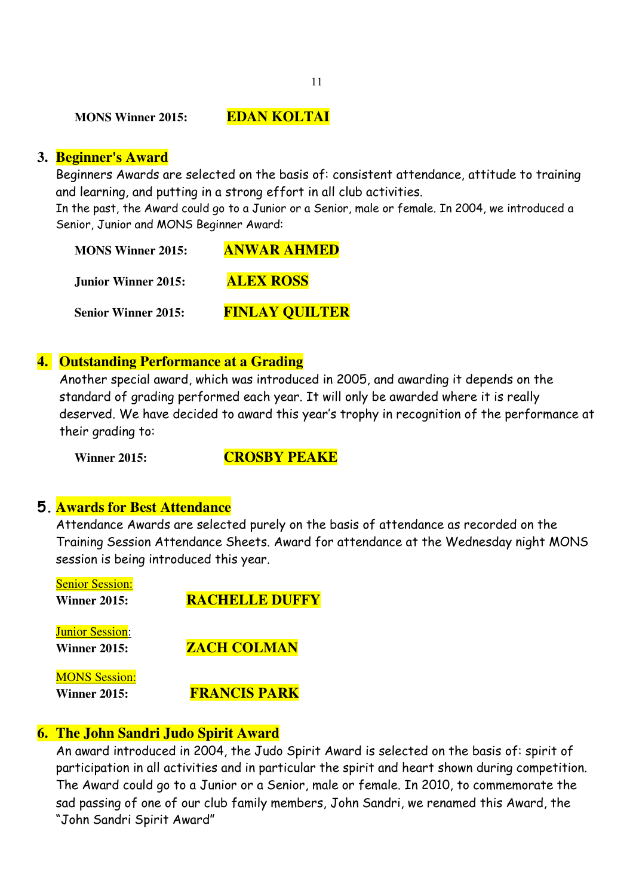**MONS Winner 2015: EDAN KOLTAI** 

#### **3. Beginner's Award**

Beginners Awards are selected on the basis of: consistent attendance, attitude to training and learning, and putting in a strong effort in all club activities.

In the past, the Award could go to a Junior or a Senior, male or female. In 2004, we introduced a Senior, Junior and MONS Beginner Award:

| <b>MONS Winner 2015:</b>   | <b>ANWAR AHMED</b>    |
|----------------------------|-----------------------|
| <b>Junior Winner 2015:</b> | <b>ALEX ROSS</b>      |
| <b>Senior Winner 2015:</b> | <b>FINLAY QUILTER</b> |

#### **4. Outstanding Performance at a Grading**

Another special award, which was introduced in 2005, and awarding it depends on the standard of grading performed each year. It will only be awarded where it is really deserved. We have decided to award this year's trophy in recognition of the performance at their grading to:

**Winner 2015: CROSBY PEAKE** 

#### 5. **Awards for Best Attendance**

Attendance Awards are selected purely on the basis of attendance as recorded on the Training Session Attendance Sheets. Award for attendance at the Wednesday night MONS session is being introduced this year.

| <b>Senior Session:</b><br><b>Winner 2015:</b> | <b>RACHELLE DUFFY</b> |
|-----------------------------------------------|-----------------------|
| <b>Junior Session:</b><br><b>Winner 2015:</b> | <b>ZACH COLMAN</b>    |
| <b>MONS Session:</b><br><b>Winner 2015:</b>   | <b>FRANCIS PARK</b>   |

# **6. The John Sandri Judo Spirit Award**

An award introduced in 2004, the Judo Spirit Award is selected on the basis of: spirit of participation in all activities and in particular the spirit and heart shown during competition. The Award could go to a Junior or a Senior, male or female. In 2010, to commemorate the sad passing of one of our club family members, John Sandri, we renamed this Award, the "John Sandri Spirit Award"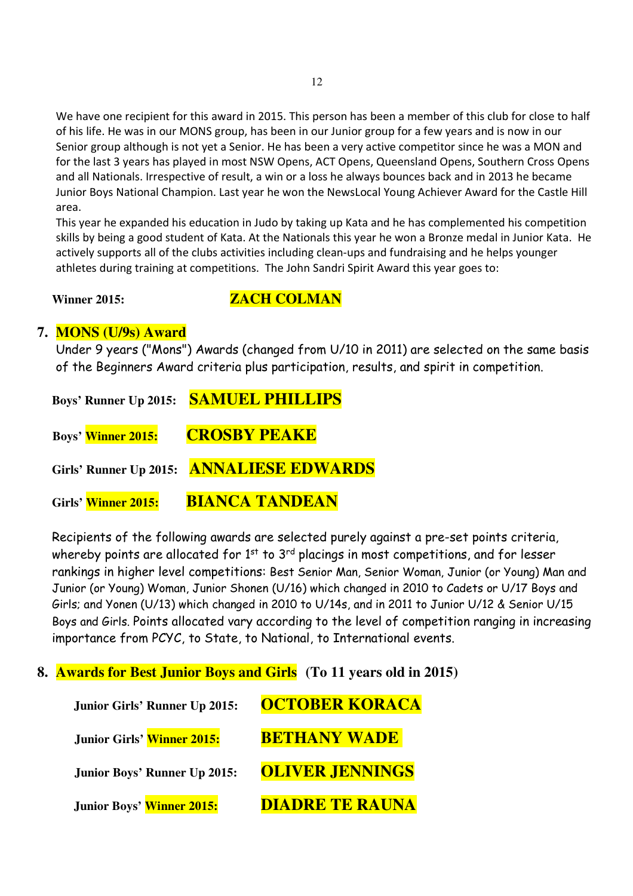We have one recipient for this award in 2015. This person has been a member of this club for close to half of his life. He was in our MONS group, has been in our Junior group for a few years and is now in our Senior group although is not yet a Senior. He has been a very active competitor since he was a MON and for the last 3 years has played in most NSW Opens, ACT Opens, Queensland Opens, Southern Cross Opens and all Nationals. Irrespective of result, a win or a loss he always bounces back and in 2013 he became Junior Boys National Champion. Last year he won the NewsLocal Young Achiever Award for the Castle Hill area.

This year he expanded his education in Judo by taking up Kata and he has complemented his competition skills by being a good student of Kata. At the Nationals this year he won a Bronze medal in Junior Kata. He actively supports all of the clubs activities including clean-ups and fundraising and he helps younger athletes during training at competitions. The John Sandri Spirit Award this year goes to:

#### **Winner 2015:** *ZACH COLMAN*

#### **7. MONS (U/9s) Award**

Under 9 years ("Mons") Awards (changed from U/10 in 2011) are selected on the same basis of the Beginners Award criteria plus participation, results, and spirit in competition.

**Boys' Runner Up 2015: SAMUEL PHILLIPS** 

**Boys' Winner 2015: CROSBY PEAKE** 

 **Girls' Runner Up 2015: ANNALIESE EDWARDS**

**Girls' Winner 2015: BIANCA TANDEAN** 

 Recipients of the following awards are selected purely against a pre-set points criteria, whereby points are allocated for  $1<sup>st</sup>$  to  $3<sup>rd</sup>$  placings in most competitions, and for lesser rankings in higher level competitions: Best Senior Man, Senior Woman, Junior (or Young) Man and Junior (or Young) Woman, Junior Shonen (U/16) which changed in 2010 to Cadets or U/17 Boys and Girls; and Yonen (U/13) which changed in 2010 to U/14s, and in 2011 to Junior U/12 & Senior U/15 Boys and Girls. Points allocated vary according to the level of competition ranging in increasing importance from PCYC, to State, to National, to International events.

## **8. Awards for Best Junior Boys and Girls (To 11 years old in 2015)**

| <b>Junior Girls' Runner Up 2015:</b> | <b>OCTOBER KORACA</b>  |
|--------------------------------------|------------------------|
| Junior Girls' Winner 2015:           | <b>BETHANY WADE</b>    |
| <b>Junior Boys' Runner Up 2015:</b>  | <b>OLIVER JENNINGS</b> |
| Junior Boys' Winner 2015:            | <b>DIADRE TE RAUNA</b> |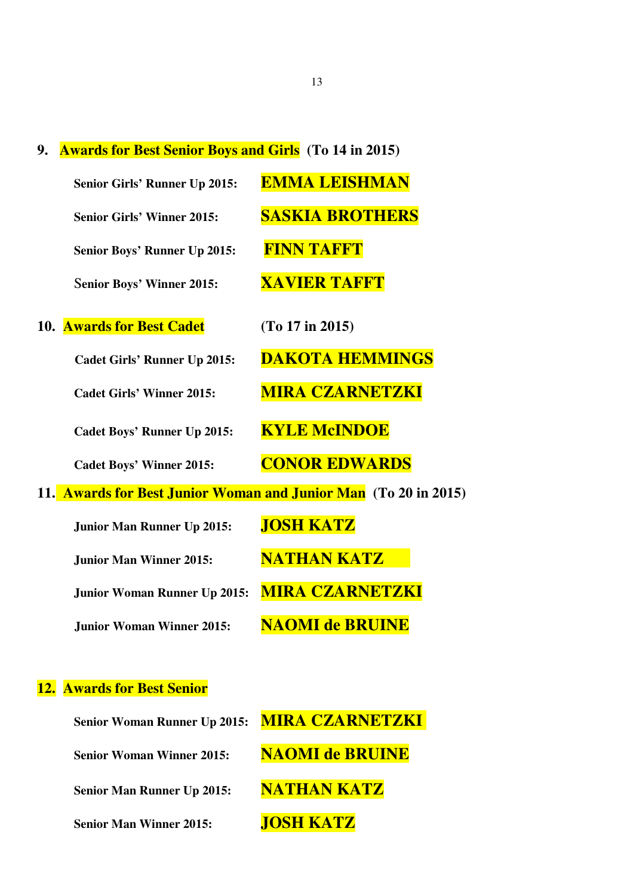**9. Awards for Best Senior Boys and Girls (To 14 in 2015)** 

| Senior Girls' Runner Up 2015:       | <b>EMMA LEISHMAN</b>                                            |
|-------------------------------------|-----------------------------------------------------------------|
| <b>Senior Girls' Winner 2015:</b>   | <b>SASKIA BROTHERS</b>                                          |
| Senior Boys' Runner Up 2015:        | <b>FINN TAFFT</b>                                               |
| <b>Senior Boys' Winner 2015:</b>    | <b>XAVIER TAFFT</b>                                             |
| <b>10. Awards for Best Cadet</b>    | (To 17 in 2015)                                                 |
| <b>Cadet Girls' Runner Up 2015:</b> | <b>DAKOTA HEMMINGS</b>                                          |
| <b>Cadet Girls' Winner 2015:</b>    | <b>MIRA CZARNETZKI</b>                                          |
| <b>Cadet Boys' Runner Up 2015:</b>  | <b>KYLE McINDOE</b>                                             |
| <b>Cadet Boys' Winner 2015:</b>     | <b>CONOR EDWARDS</b>                                            |
|                                     | 11. Awards for Best Junior Woman and Junior Man (To 20 in 2015) |
| <b>Junior Man Runner Up 2015:</b>   | <b>JOSH KATZ</b>                                                |
| <b>Junior Man Winner 2015:</b>      | <b>NATHAN KATZ</b>                                              |
| <b>Junior Woman Runner Up 2015:</b> | <b>MIRA CZARNETZKI</b>                                          |
| <b>Junior Woman Winner 2015:</b>    | <b>NAOMI de BRUINE</b>                                          |
|                                     |                                                                 |
| <b>12. Awards for Best Senior</b>   |                                                                 |
| <b>Senior Woman Runner Up 2015:</b> | <b>MIRA CZARNETZKI</b>                                          |

**Senior Woman Winner 2015: NAOMI de BRUINE Senior Man Runner Up 2015: NATHAN KATZ Senior Man Winner 2015: JOSH KATZ**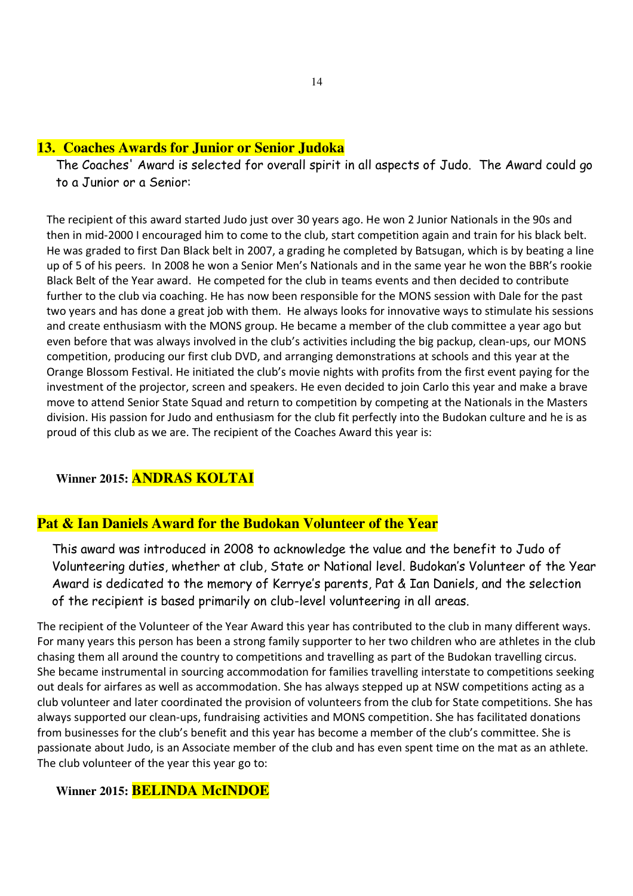#### **13. Coaches Awards for Junior or Senior Judoka**

The Coaches' Award is selected for overall spirit in all aspects of Judo. The Award could go to a Junior or a Senior:

The recipient of this award started Judo just over 30 years ago. He won 2 Junior Nationals in the 90s and then in mid-2000 I encouraged him to come to the club, start competition again and train for his black belt. He was graded to first Dan Black belt in 2007, a grading he completed by Batsugan, which is by beating a line up of 5 of his peers. In 2008 he won a Senior Men's Nationals and in the same year he won the BBR's rookie Black Belt of the Year award. He competed for the club in teams events and then decided to contribute further to the club via coaching. He has now been responsible for the MONS session with Dale for the past two years and has done a great job with them. He always looks for innovative ways to stimulate his sessions and create enthusiasm with the MONS group. He became a member of the club committee a year ago but even before that was always involved in the club's activities including the big packup, clean-ups, our MONS competition, producing our first club DVD, and arranging demonstrations at schools and this year at the Orange Blossom Festival. He initiated the club's movie nights with profits from the first event paying for the investment of the projector, screen and speakers. He even decided to join Carlo this year and make a brave move to attend Senior State Squad and return to competition by competing at the Nationals in the Masters division. His passion for Judo and enthusiasm for the club fit perfectly into the Budokan culture and he is as proud of this club as we are. The recipient of the Coaches Award this year is:

#### **Winner 2015: ANDRAS KOLTAI**

#### **Pat & Ian Daniels Award for the Budokan Volunteer of the Year**

This award was introduced in 2008 to acknowledge the value and the benefit to Judo of Volunteering duties, whether at club, State or National level. Budokan's Volunteer of the Year Award is dedicated to the memory of Kerrye's parents, Pat & Ian Daniels, and the selection of the recipient is based primarily on club-level volunteering in all areas.

The recipient of the Volunteer of the Year Award this year has contributed to the club in many different ways. For many years this person has been a strong family supporter to her two children who are athletes in the club chasing them all around the country to competitions and travelling as part of the Budokan travelling circus. She became instrumental in sourcing accommodation for families travelling interstate to competitions seeking out deals for airfares as well as accommodation. She has always stepped up at NSW competitions acting as a club volunteer and later coordinated the provision of volunteers from the club for State competitions. She has always supported our clean-ups, fundraising activities and MONS competition. She has facilitated donations from businesses for the club's benefit and this year has become a member of the club's committee. She is passionate about Judo, is an Associate member of the club and has even spent time on the mat as an athlete. The club volunteer of the year this year go to:

#### **Winner 2015: BELINDA McINDOE**